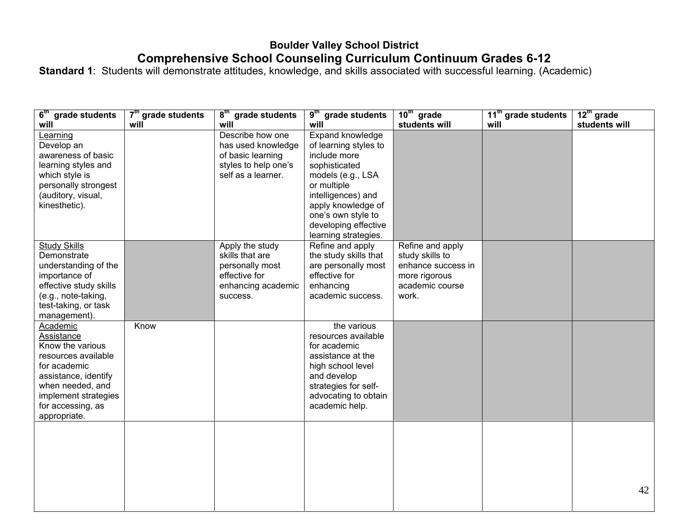## **Boulder Valley School District Comprehensive School Counseling Curriculum Continuum Grades 6-12**

**Standard 1**: Students will demonstrate attitudes, knowledge, and skills associated with successful learning. (Academic)

| 6 <sup>th</sup> grade students        | 7 <sup>th</sup> grade students | $8th$ grade students             | 9 <sup>th</sup> grade students       | $10th$ grade                          | 11 <sup>th</sup> grade students | $12^{\text{th}}$ grade |
|---------------------------------------|--------------------------------|----------------------------------|--------------------------------------|---------------------------------------|---------------------------------|------------------------|
| will                                  | will                           | will                             | will                                 | students will                         | will                            | students will          |
| Learning                              |                                | Describe how one                 | Expand knowledge                     |                                       |                                 |                        |
| Develop an                            |                                | has used knowledge               | of learning styles to                |                                       |                                 |                        |
| awareness of basic                    |                                | of basic learning                | include more                         |                                       |                                 |                        |
| learning styles and                   |                                | styles to help one's             | sophisticated                        |                                       |                                 |                        |
| which style is                        |                                | self as a learner.               | models (e.g., LSA                    |                                       |                                 |                        |
| personally strongest                  |                                |                                  | or multiple                          |                                       |                                 |                        |
| (auditory, visual,                    |                                |                                  | intelligences) and                   |                                       |                                 |                        |
| kinesthetic).                         |                                |                                  | apply knowledge of                   |                                       |                                 |                        |
|                                       |                                |                                  | one's own style to                   |                                       |                                 |                        |
|                                       |                                |                                  | developing effective                 |                                       |                                 |                        |
|                                       |                                |                                  | learning strategies.                 |                                       |                                 |                        |
| <b>Study Skills</b>                   |                                | Apply the study                  | Refine and apply                     | Refine and apply                      |                                 |                        |
| Demonstrate                           |                                | skills that are                  | the study skills that                | study skills to<br>enhance success in |                                 |                        |
| understanding of the<br>importance of |                                | personally most<br>effective for | are personally most<br>effective for |                                       |                                 |                        |
| effective study skills                |                                | enhancing academic               | enhancing                            | more rigorous<br>academic course      |                                 |                        |
| (e.g., note-taking,                   |                                | success.                         | academic success.                    | work.                                 |                                 |                        |
| test-taking, or task                  |                                |                                  |                                      |                                       |                                 |                        |
| management).                          |                                |                                  |                                      |                                       |                                 |                        |
| Academic                              | Know                           |                                  | the various                          |                                       |                                 |                        |
| Assistance                            |                                |                                  | resources available                  |                                       |                                 |                        |
| Know the various                      |                                |                                  | for academic                         |                                       |                                 |                        |
| resources available                   |                                |                                  | assistance at the                    |                                       |                                 |                        |
| for academic                          |                                |                                  | high school level                    |                                       |                                 |                        |
| assistance, identify                  |                                |                                  | and develop                          |                                       |                                 |                        |
| when needed, and                      |                                |                                  | strategies for self-                 |                                       |                                 |                        |
| implement strategies                  |                                |                                  | advocating to obtain                 |                                       |                                 |                        |
| for accessing, as                     |                                |                                  | academic help.                       |                                       |                                 |                        |
| appropriate.                          |                                |                                  |                                      |                                       |                                 |                        |
|                                       |                                |                                  |                                      |                                       |                                 |                        |
|                                       |                                |                                  |                                      |                                       |                                 |                        |
|                                       |                                |                                  |                                      |                                       |                                 |                        |
|                                       |                                |                                  |                                      |                                       |                                 |                        |
|                                       |                                |                                  |                                      |                                       |                                 |                        |
|                                       |                                |                                  |                                      |                                       |                                 |                        |
|                                       |                                |                                  |                                      |                                       |                                 | 42                     |
|                                       |                                |                                  |                                      |                                       |                                 |                        |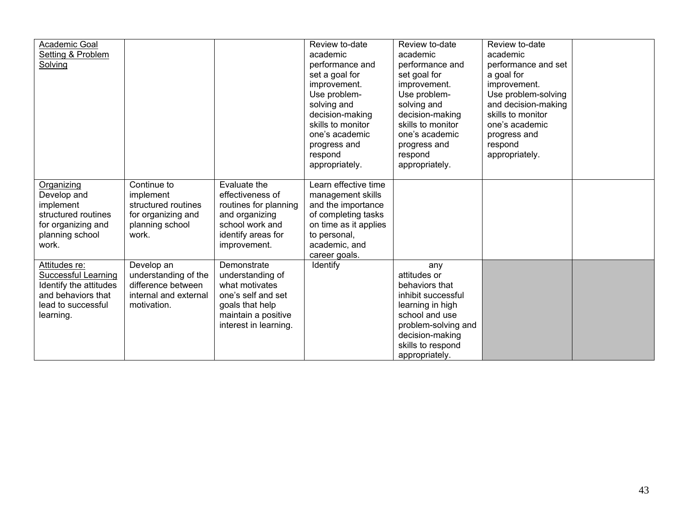| Academic Goal<br>Setting & Problem<br>Solving                                                                                  |                                                                                                   |                                                                                                                                            | Review to-date<br>academic<br>performance and<br>set a goal for<br>improvement.<br>Use problem-<br>solving and<br>decision-making<br>skills to monitor<br>one's academic<br>progress and<br>respond<br>appropriately. | Review to-date<br>academic<br>performance and<br>set goal for<br>improvement.<br>Use problem-<br>solving and<br>decision-making<br>skills to monitor<br>one's academic<br>progress and<br>respond<br>appropriately. | Review to-date<br>academic<br>performance and set<br>a goal for<br>improvement.<br>Use problem-solving<br>and decision-making<br>skills to monitor<br>one's academic<br>progress and<br>respond<br>appropriately. |  |
|--------------------------------------------------------------------------------------------------------------------------------|---------------------------------------------------------------------------------------------------|--------------------------------------------------------------------------------------------------------------------------------------------|-----------------------------------------------------------------------------------------------------------------------------------------------------------------------------------------------------------------------|---------------------------------------------------------------------------------------------------------------------------------------------------------------------------------------------------------------------|-------------------------------------------------------------------------------------------------------------------------------------------------------------------------------------------------------------------|--|
| Organizing<br>Develop and<br>implement<br>structured routines<br>for organizing and<br>planning school<br>work.                | Continue to<br>implement<br>structured routines<br>for organizing and<br>planning school<br>work. | Evaluate the<br>effectiveness of<br>routines for planning<br>and organizing<br>school work and<br>identify areas for<br>improvement.       | Learn effective time<br>management skills<br>and the importance<br>of completing tasks<br>on time as it applies<br>to personal,<br>academic, and<br>career goals.                                                     |                                                                                                                                                                                                                     |                                                                                                                                                                                                                   |  |
| Attitudes re:<br><b>Successful Learning</b><br>Identify the attitudes<br>and behaviors that<br>lead to successful<br>learning. | Develop an<br>understanding of the<br>difference between<br>internal and external<br>motivation.  | Demonstrate<br>understanding of<br>what motivates<br>one's self and set<br>goals that help<br>maintain a positive<br>interest in learning. | Identify                                                                                                                                                                                                              | any<br>attitudes or<br>behaviors that<br>inhibit successful<br>learning in high<br>school and use<br>problem-solving and<br>decision-making<br>skills to respond<br>appropriately.                                  |                                                                                                                                                                                                                   |  |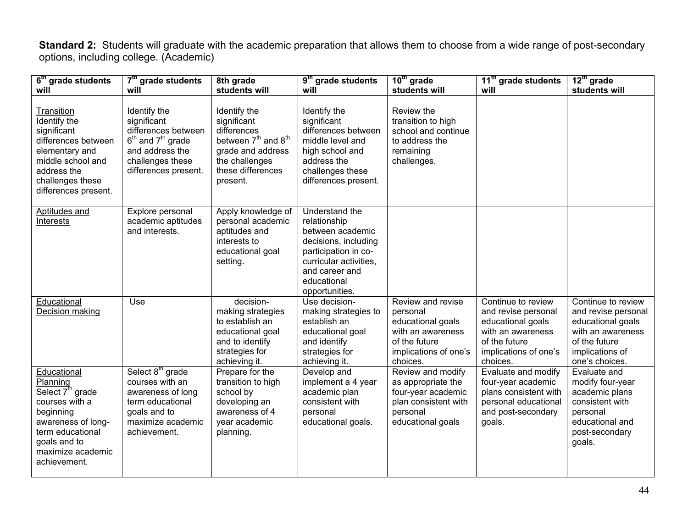**Standard 2:** Students will graduate with the academic preparation that allows them to choose from a wide range of post-secondary options, including college. (Academic)

| 6 <sup>th</sup> grade students                                                                                                                                                        | 7 <sup>th</sup> grade students                                                                                                                | 8th grade                                                                                                                                                         | 9 <sup>th</sup> grade students                                                                                                                                                  | $10th$ grade                                                                                                                  | 11 <sup>th</sup> grade students                                                                                                           | $12th$ grade                                                                                                                              |
|---------------------------------------------------------------------------------------------------------------------------------------------------------------------------------------|-----------------------------------------------------------------------------------------------------------------------------------------------|-------------------------------------------------------------------------------------------------------------------------------------------------------------------|---------------------------------------------------------------------------------------------------------------------------------------------------------------------------------|-------------------------------------------------------------------------------------------------------------------------------|-------------------------------------------------------------------------------------------------------------------------------------------|-------------------------------------------------------------------------------------------------------------------------------------------|
| will                                                                                                                                                                                  | will                                                                                                                                          | students will                                                                                                                                                     | will                                                                                                                                                                            | students will                                                                                                                 | will                                                                                                                                      | students will                                                                                                                             |
| Transition<br>Identify the<br>significant<br>differences between<br>elementary and<br>middle school and<br>address the<br>challenges these<br>differences present.                    | Identify the<br>significant<br>differences between<br>$6th$ and $7th$ grade<br>and address the<br>challenges these<br>differences present.    | Identify the<br>significant<br>differences<br>between 7 <sup>th</sup> and 8 <sup>th</sup><br>grade and address<br>the challenges<br>these differences<br>present. | Identify the<br>significant<br>differences between<br>middle level and<br>high school and<br>address the<br>challenges these<br>differences present.                            | Review the<br>transition to high<br>school and continue<br>to address the<br>remaining<br>challenges.                         |                                                                                                                                           |                                                                                                                                           |
| <b>Aptitudes and</b><br><b>Interests</b>                                                                                                                                              | Explore personal<br>academic aptitudes<br>and interests.                                                                                      | Apply knowledge of<br>personal academic<br>aptitudes and<br>interests to<br>educational goal<br>setting.                                                          | Understand the<br>relationship<br>between academic<br>decisions, including<br>participation in co-<br>curricular activities,<br>and career and<br>educational<br>opportunities. |                                                                                                                               |                                                                                                                                           |                                                                                                                                           |
| Educational<br>Decision making                                                                                                                                                        | Use                                                                                                                                           | decision-<br>making strategies<br>to establish an<br>educational goal<br>and to identify<br>strategies for<br>achieving it.                                       | Use decision-<br>making strategies to<br>establish an<br>educational goal<br>and identify<br>strategies for<br>achieving it.                                                    | Review and revise<br>personal<br>educational goals<br>with an awareness<br>of the future<br>implications of one's<br>choices. | Continue to review<br>and revise personal<br>educational goals<br>with an awareness<br>of the future<br>implications of one's<br>choices. | Continue to review<br>and revise personal<br>educational goals<br>with an awareness<br>of the future<br>implications of<br>one's choices. |
| Educational<br>Planning<br>Select 7 <sup>th</sup> grade<br>courses with a<br>beginning<br>awareness of long-<br>term educational<br>goals and to<br>maximize academic<br>achievement. | Select 8 <sup>th</sup> grade<br>courses with an<br>awareness of long<br>term educational<br>goals and to<br>maximize academic<br>achievement. | Prepare for the<br>transition to high<br>school by<br>developing an<br>awareness of 4<br>year academic<br>planning.                                               | Develop and<br>implement a 4 year<br>academic plan<br>consistent with<br>personal<br>educational goals.                                                                         | Review and modify<br>as appropriate the<br>four-year academic<br>plan consistent with<br>personal<br>educational goals        | Evaluate and modify<br>four-year academic<br>plans consistent with<br>personal educational<br>and post-secondary<br>goals.                | Evaluate and<br>modify four-year<br>academic plans<br>consistent with<br>personal<br>educational and<br>post-secondary<br>goals.          |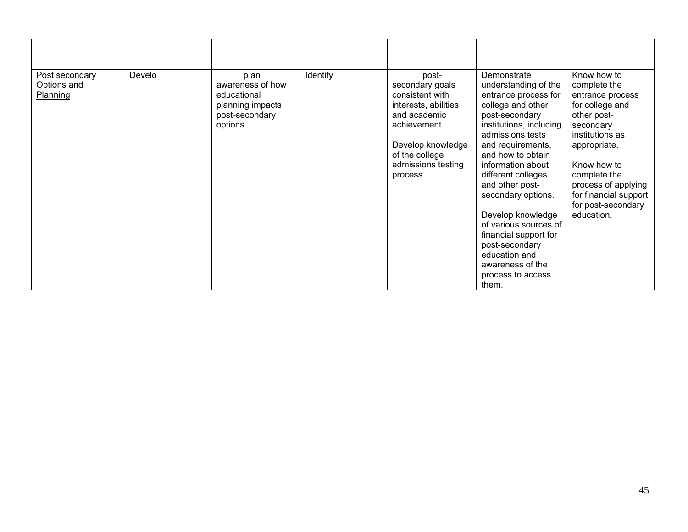| Post secondary<br>Options and<br>Planning | Develo | p an<br>awareness of how<br>educational<br>planning impacts<br>post-secondary<br>options. | Identify | post-<br>secondary goals<br>consistent with<br>interests, abilities<br>and academic<br>achievement.<br>Develop knowledge<br>of the college<br>admissions testing<br>process. | Demonstrate<br>understanding of the<br>entrance process for<br>college and other<br>post-secondary<br>institutions, including<br>admissions tests<br>and requirements,<br>and how to obtain<br>information about<br>different colleges<br>and other post-<br>secondary options.<br>Develop knowledge<br>of various sources of<br>financial support for<br>post-secondary<br>education and<br>awareness of the<br>process to access<br>them. | Know how to<br>complete the<br>entrance process<br>for college and<br>other post-<br>secondary<br>institutions as<br>appropriate.<br>Know how to<br>complete the<br>process of applying<br>for financial support<br>for post-secondary<br>education. |
|-------------------------------------------|--------|-------------------------------------------------------------------------------------------|----------|------------------------------------------------------------------------------------------------------------------------------------------------------------------------------|---------------------------------------------------------------------------------------------------------------------------------------------------------------------------------------------------------------------------------------------------------------------------------------------------------------------------------------------------------------------------------------------------------------------------------------------|------------------------------------------------------------------------------------------------------------------------------------------------------------------------------------------------------------------------------------------------------|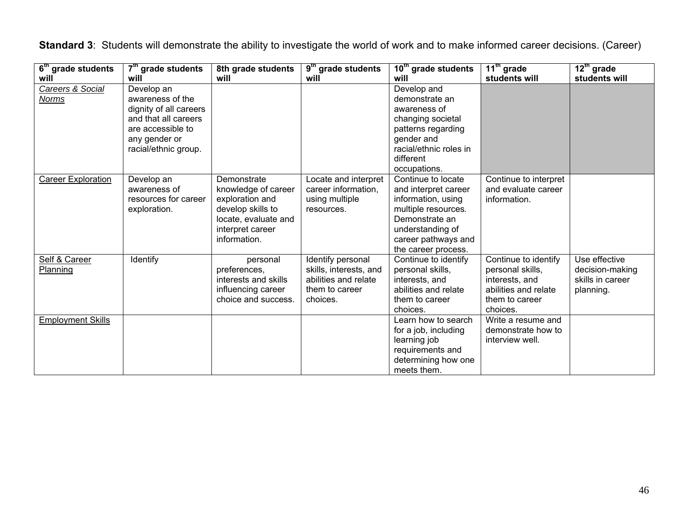| $\overline{6}^{\text{th}}$ grade students | $7th$ grade students                                                                                                                           | 8th grade students                                                                                                                     | $\overline{9^{th}}$ grade students                                                                | $10th$ grade students                                                                                                                                                       | $11th$ grade                                                                                                     | $12^{\text{th}}$ grade                                            |
|-------------------------------------------|------------------------------------------------------------------------------------------------------------------------------------------------|----------------------------------------------------------------------------------------------------------------------------------------|---------------------------------------------------------------------------------------------------|-----------------------------------------------------------------------------------------------------------------------------------------------------------------------------|------------------------------------------------------------------------------------------------------------------|-------------------------------------------------------------------|
| will                                      | will                                                                                                                                           | will                                                                                                                                   | will                                                                                              | will                                                                                                                                                                        | students will                                                                                                    | students will                                                     |
| Careers & Social<br><b>Norms</b>          | Develop an<br>awareness of the<br>dignity of all careers<br>and that all careers<br>are accessible to<br>any gender or<br>racial/ethnic group. |                                                                                                                                        |                                                                                                   | Develop and<br>demonstrate an<br>awareness of<br>changing societal<br>patterns regarding<br>gender and<br>racial/ethnic roles in<br>different                               |                                                                                                                  |                                                                   |
|                                           |                                                                                                                                                |                                                                                                                                        |                                                                                                   | occupations.                                                                                                                                                                |                                                                                                                  |                                                                   |
| <b>Career Exploration</b>                 | Develop an<br>awareness of<br>resources for career<br>exploration.                                                                             | Demonstrate<br>knowledge of career<br>exploration and<br>develop skills to<br>locate, evaluate and<br>interpret career<br>information. | Locate and interpret<br>career information.<br>using multiple<br>resources.                       | Continue to locate<br>and interpret career<br>information, using<br>multiple resources.<br>Demonstrate an<br>understanding of<br>career pathways and<br>the career process. | Continue to interpret<br>and evaluate career<br>information.                                                     |                                                                   |
| Self & Career<br>Planning                 | Identify                                                                                                                                       | personal<br>preferences,<br>interests and skills<br>influencing career<br>choice and success.                                          | Identify personal<br>skills, interests, and<br>abilities and relate<br>them to career<br>choices. | Continue to identify<br>personal skills,<br>interests, and<br>abilities and relate<br>them to career<br>choices.                                                            | Continue to identify<br>personal skills,<br>interests, and<br>abilities and relate<br>them to career<br>choices. | Use effective<br>decision-making<br>skills in career<br>planning. |
| <b>Employment Skills</b>                  |                                                                                                                                                |                                                                                                                                        |                                                                                                   | Learn how to search<br>for a job, including<br>learning job<br>requirements and<br>determining how one<br>meets them.                                                       | Write a resume and<br>demonstrate how to<br>interview well.                                                      |                                                                   |

**Standard 3**: Students will demonstrate the ability to investigate the world of work and to make informed career decisions. (Career)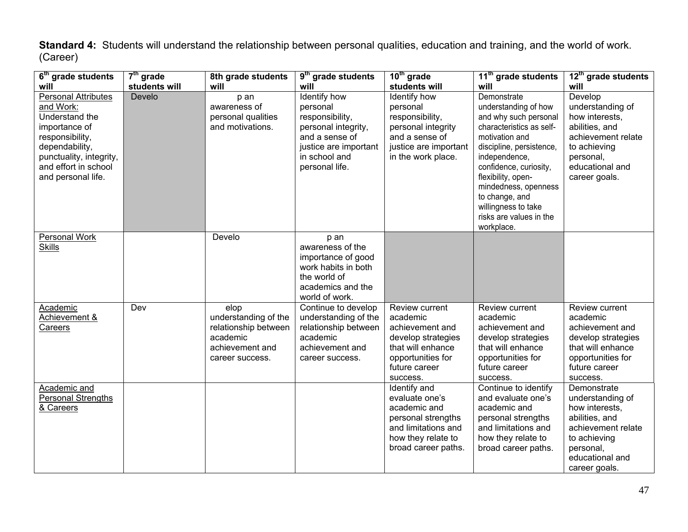**Standard 4:** Students will understand the relationship between personal qualities, education and training, and the world of work. (Career)

| 6 <sup>th</sup> grade students                                                                                                                                                           | $7th$ grade   | 8th grade students                                                                                     | 9 <sup>th</sup> grade students                                                                                                                   | 10 <sup>th</sup> grade                                                                                                                     | 11 <sup>th</sup> grade students                                                                                                                                                                                                                                                                                   | 12 <sup>th</sup> grade students                                                                                                                            |
|------------------------------------------------------------------------------------------------------------------------------------------------------------------------------------------|---------------|--------------------------------------------------------------------------------------------------------|--------------------------------------------------------------------------------------------------------------------------------------------------|--------------------------------------------------------------------------------------------------------------------------------------------|-------------------------------------------------------------------------------------------------------------------------------------------------------------------------------------------------------------------------------------------------------------------------------------------------------------------|------------------------------------------------------------------------------------------------------------------------------------------------------------|
| will                                                                                                                                                                                     | students will | will                                                                                                   | will                                                                                                                                             | students will                                                                                                                              | will                                                                                                                                                                                                                                                                                                              | will                                                                                                                                                       |
| <b>Personal Attributes</b><br>and Work:<br>Understand the<br>importance of<br>responsibility,<br>dependability,<br>punctuality, integrity,<br>and effort in school<br>and personal life. | Develo        | p an<br>awareness of<br>personal qualities<br>and motivations.                                         | Identify how<br>personal<br>responsibility,<br>personal integrity,<br>and a sense of<br>justice are important<br>in school and<br>personal life. | Identify how<br>personal<br>responsibility,<br>personal integrity<br>and a sense of<br>justice are important<br>in the work place.         | Demonstrate<br>understanding of how<br>and why such personal<br>characteristics as self-<br>motivation and<br>discipline, persistence,<br>independence,<br>confidence, curiosity,<br>flexibility, open-<br>mindedness, openness<br>to change, and<br>willingness to take<br>risks are values in the<br>workplace. | Develop<br>understanding of<br>how interests,<br>abilities, and<br>achievement relate<br>to achieving<br>personal,<br>educational and<br>career goals.     |
| <b>Personal Work</b><br><b>Skills</b>                                                                                                                                                    |               | Develo                                                                                                 | p an<br>awareness of the<br>importance of good<br>work habits in both<br>the world of<br>academics and the<br>world of work.                     |                                                                                                                                            |                                                                                                                                                                                                                                                                                                                   |                                                                                                                                                            |
| Academic<br>Achievement &<br>Careers                                                                                                                                                     | Dev           | elop<br>understanding of the<br>relationship between<br>academic<br>achievement and<br>career success. | Continue to develop<br>understanding of the<br>relationship between<br>academic<br>achievement and<br>career success.                            | Review current<br>academic<br>achievement and<br>develop strategies<br>that will enhance<br>opportunities for<br>future career<br>success. | Review current<br>academic<br>achievement and<br>develop strategies<br>that will enhance<br>opportunities for<br>future career<br>success.                                                                                                                                                                        | Review current<br>academic<br>achievement and<br>develop strategies<br>that will enhance<br>opportunities for<br>future career<br>success.                 |
| Academic and<br>Personal Strengths<br>& Careers                                                                                                                                          |               |                                                                                                        |                                                                                                                                                  | Identify and<br>evaluate one's<br>academic and<br>personal strengths<br>and limitations and<br>how they relate to<br>broad career paths.   | Continue to identify<br>and evaluate one's<br>academic and<br>personal strengths<br>and limitations and<br>how they relate to<br>broad career paths.                                                                                                                                                              | Demonstrate<br>understanding of<br>how interests,<br>abilities, and<br>achievement relate<br>to achieving<br>personal,<br>educational and<br>career goals. |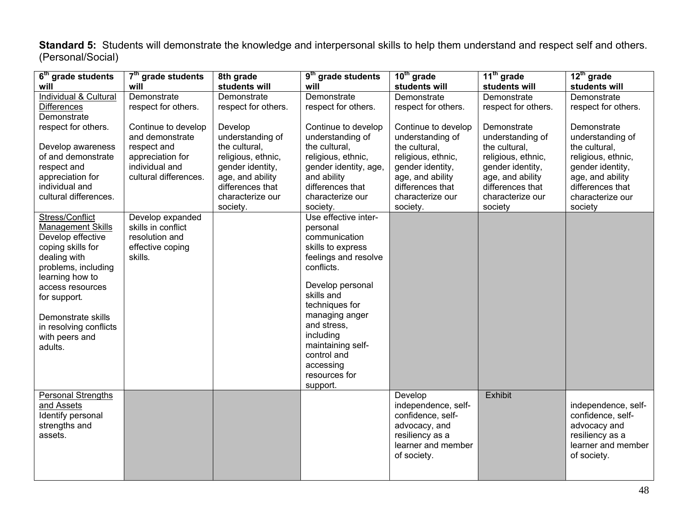**Standard 5:** Students will demonstrate the knowledge and interpersonal skills to help them understand and respect self and others. (Personal/Social)

| $\overline{6}^{\text{th}}$ grade students                                                                                                                                                                                                                        | 7 <sup>th</sup> grade students                                                                                       | 8th grade                                                                                                                                                      | 9 <sup>th</sup> grade students                                                                                                                                                                                                                                                               | 10 <sup>th</sup> grade                                                                                                                                                     | $11th$ grade                                                                                                                                                      | $12th$ grade                                                                                                                                                      |
|------------------------------------------------------------------------------------------------------------------------------------------------------------------------------------------------------------------------------------------------------------------|----------------------------------------------------------------------------------------------------------------------|----------------------------------------------------------------------------------------------------------------------------------------------------------------|----------------------------------------------------------------------------------------------------------------------------------------------------------------------------------------------------------------------------------------------------------------------------------------------|----------------------------------------------------------------------------------------------------------------------------------------------------------------------------|-------------------------------------------------------------------------------------------------------------------------------------------------------------------|-------------------------------------------------------------------------------------------------------------------------------------------------------------------|
| will                                                                                                                                                                                                                                                             | will                                                                                                                 | students will                                                                                                                                                  | will                                                                                                                                                                                                                                                                                         | students will                                                                                                                                                              | students will                                                                                                                                                     | students will                                                                                                                                                     |
| Individual & Cultural<br><b>Differences</b><br>Demonstrate                                                                                                                                                                                                       | Demonstrate<br>respect for others.                                                                                   | Demonstrate<br>respect for others.                                                                                                                             | Demonstrate<br>respect for others.                                                                                                                                                                                                                                                           | Demonstrate<br>respect for others.                                                                                                                                         | Demonstrate<br>respect for others.                                                                                                                                | Demonstrate<br>respect for others.                                                                                                                                |
| respect for others.<br>Develop awareness<br>of and demonstrate<br>respect and<br>appreciation for<br>individual and<br>cultural differences.                                                                                                                     | Continue to develop<br>and demonstrate<br>respect and<br>appreciation for<br>individual and<br>cultural differences. | Develop<br>understanding of<br>the cultural,<br>religious, ethnic,<br>gender identity,<br>age, and ability<br>differences that<br>characterize our<br>society. | Continue to develop<br>understanding of<br>the cultural,<br>religious, ethnic,<br>gender identity, age,<br>and ability<br>differences that<br>characterize our<br>society.                                                                                                                   | Continue to develop<br>understanding of<br>the cultural,<br>religious, ethnic,<br>gender identity,<br>age, and ability<br>differences that<br>characterize our<br>society. | Demonstrate<br>understanding of<br>the cultural,<br>religious, ethnic,<br>gender identity,<br>age, and ability<br>differences that<br>characterize our<br>society | Demonstrate<br>understanding of<br>the cultural,<br>religious, ethnic,<br>gender identity,<br>age, and ability<br>differences that<br>characterize our<br>society |
| Stress/Conflict<br><b>Management Skills</b><br>Develop effective<br>coping skills for<br>dealing with<br>problems, including<br>learning how to<br>access resources<br>for support.<br>Demonstrate skills<br>in resolving conflicts<br>with peers and<br>adults. | Develop expanded<br>skills in conflict<br>resolution and<br>effective coping<br>skills.                              |                                                                                                                                                                | Use effective inter-<br>personal<br>communication<br>skills to express<br>feelings and resolve<br>conflicts.<br>Develop personal<br>skills and<br>techniques for<br>managing anger<br>and stress,<br>including<br>maintaining self-<br>control and<br>accessing<br>resources for<br>support. |                                                                                                                                                                            |                                                                                                                                                                   |                                                                                                                                                                   |
| Personal Strengths<br>and Assets<br>Identify personal<br>strengths and<br>assets.                                                                                                                                                                                |                                                                                                                      |                                                                                                                                                                |                                                                                                                                                                                                                                                                                              | Develop<br>independence, self-<br>confidence, self-<br>advocacy, and<br>resiliency as a<br>learner and member<br>of society.                                               | Exhibit                                                                                                                                                           | independence, self-<br>confidence, self-<br>advocacy and<br>resiliency as a<br>learner and member<br>of society.                                                  |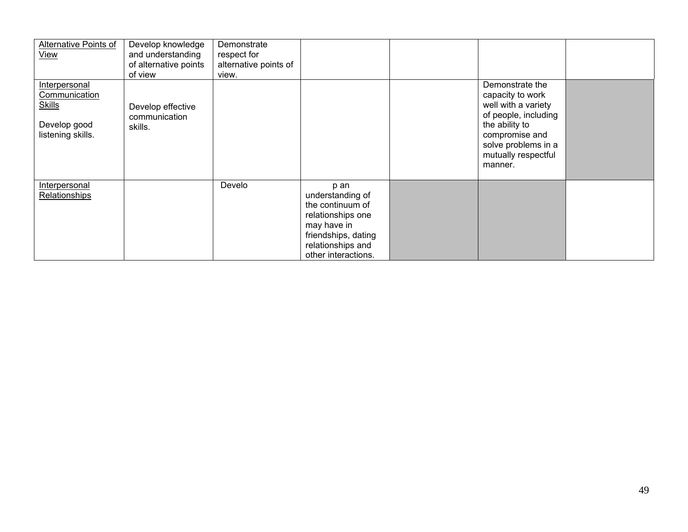| Alternative Points of                                                                       | Develop knowledge                             | Demonstrate           |                                                                                                                                                     |                                                                                                                                                                                 |  |
|---------------------------------------------------------------------------------------------|-----------------------------------------------|-----------------------|-----------------------------------------------------------------------------------------------------------------------------------------------------|---------------------------------------------------------------------------------------------------------------------------------------------------------------------------------|--|
| <b>View</b>                                                                                 | and understanding                             | respect for           |                                                                                                                                                     |                                                                                                                                                                                 |  |
|                                                                                             | of alternative points                         | alternative points of |                                                                                                                                                     |                                                                                                                                                                                 |  |
|                                                                                             | of view                                       | view.                 |                                                                                                                                                     |                                                                                                                                                                                 |  |
| Interpersonal<br><b>Communication</b><br><b>Skills</b><br>Develop good<br>listening skills. | Develop effective<br>communication<br>skills. |                       |                                                                                                                                                     | Demonstrate the<br>capacity to work<br>well with a variety<br>of people, including<br>the ability to<br>compromise and<br>solve problems in a<br>mutually respectful<br>manner. |  |
| <b>Interpersonal</b><br>Relationships                                                       |                                               | Develo                | p an<br>understanding of<br>the continuum of<br>relationships one<br>may have in<br>friendships, dating<br>relationships and<br>other interactions. |                                                                                                                                                                                 |  |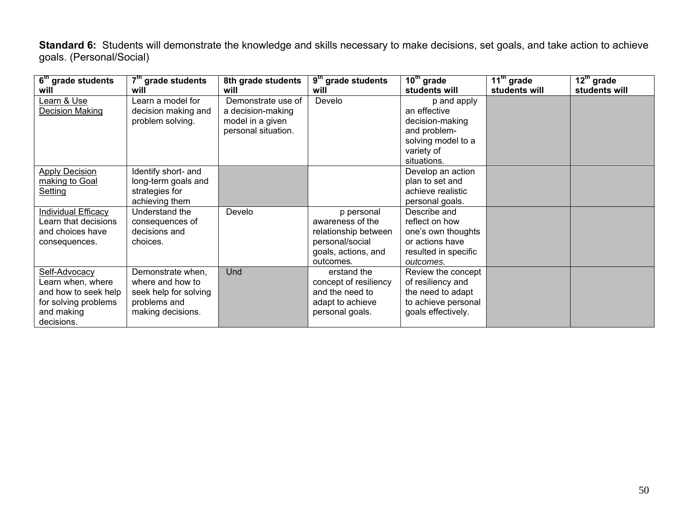**Standard 6:** Students will demonstrate the knowledge and skills necessary to make decisions, set goals, and take action to achieve goals. (Personal/Social)

| 6 <sup>th</sup> grade students | 7 <sup>th</sup> grade students | 8th grade students  | $9th$ grade students  | $10th$ grade         | $11^{\text{th}}$ grade | $12th$ grade  |
|--------------------------------|--------------------------------|---------------------|-----------------------|----------------------|------------------------|---------------|
| will                           | will                           | will                | will                  | students will        | students will          | students will |
| Learn & Use                    | Learn a model for              | Demonstrate use of  | Develo                | p and apply          |                        |               |
| Decision Making                | decision making and            | a decision-making   |                       | an effective         |                        |               |
|                                | problem solving.               | model in a given    |                       | decision-making      |                        |               |
|                                |                                | personal situation. |                       | and problem-         |                        |               |
|                                |                                |                     |                       | solving model to a   |                        |               |
|                                |                                |                     |                       | variety of           |                        |               |
|                                |                                |                     |                       | situations.          |                        |               |
| <b>Apply Decision</b>          | Identify short- and            |                     |                       | Develop an action    |                        |               |
| making to Goal                 | long-term goals and            |                     |                       | plan to set and      |                        |               |
| Setting                        | strategies for                 |                     |                       | achieve realistic    |                        |               |
|                                | achieving them                 |                     |                       | personal goals.      |                        |               |
| <b>Individual Efficacy</b>     | Understand the                 | Develo              | p personal            | Describe and         |                        |               |
| Learn that decisions           | consequences of                |                     | awareness of the      | reflect on how       |                        |               |
| and choices have               | decisions and                  |                     | relationship between  | one's own thoughts   |                        |               |
| consequences.                  | choices.                       |                     | personal/social       | or actions have      |                        |               |
|                                |                                |                     | goals, actions, and   | resulted in specific |                        |               |
|                                |                                |                     | outcomes.             | outcomes.            |                        |               |
| Self-Advocacy                  | Demonstrate when,              | Und                 | erstand the           | Review the concept   |                        |               |
| Learn when, where              | where and how to               |                     | concept of resiliency | of resiliency and    |                        |               |
| and how to seek help           | seek help for solving          |                     | and the need to       | the need to adapt    |                        |               |
| for solving problems           | problems and                   |                     | adapt to achieve      | to achieve personal  |                        |               |
| and making                     | making decisions.              |                     | personal goals.       | goals effectively.   |                        |               |
| decisions.                     |                                |                     |                       |                      |                        |               |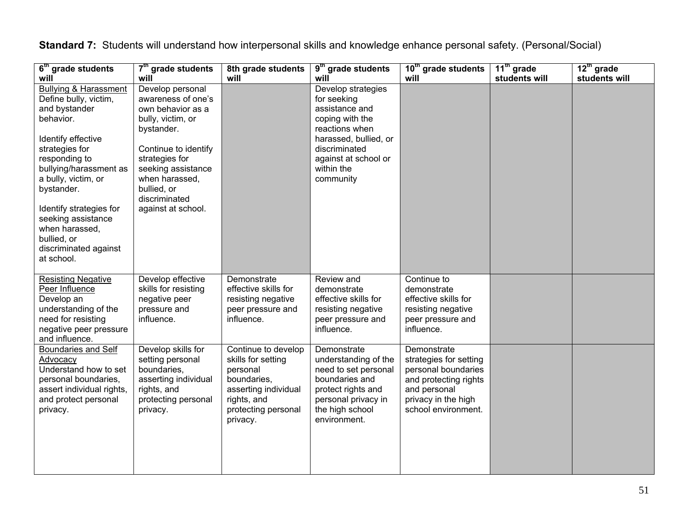| $\overline{6}^{\text{th}}$ grade students<br>will                                                                                                                                                                                                                                                                                        | 7 <sup>th</sup> grade students<br>will                                                                                                                                                                                                 | 8th grade students<br>will                                                                                                                     | $\overline{9^{th}}$ grade students<br>will                                                                                                                                            | 10 <sup>th</sup> grade students<br>will                                                                                                             | 11 <sup>th</sup> grade<br>students will | $12th$ grade<br>students will |
|------------------------------------------------------------------------------------------------------------------------------------------------------------------------------------------------------------------------------------------------------------------------------------------------------------------------------------------|----------------------------------------------------------------------------------------------------------------------------------------------------------------------------------------------------------------------------------------|------------------------------------------------------------------------------------------------------------------------------------------------|---------------------------------------------------------------------------------------------------------------------------------------------------------------------------------------|-----------------------------------------------------------------------------------------------------------------------------------------------------|-----------------------------------------|-------------------------------|
| <b>Bullying &amp; Harassment</b><br>Define bully, victim,<br>and bystander<br>behavior.<br>Identify effective<br>strategies for<br>responding to<br>bullying/harassment as<br>a bully, victim, or<br>bystander.<br>Identify strategies for<br>seeking assistance<br>when harassed,<br>bullied, or<br>discriminated against<br>at school. | Develop personal<br>awareness of one's<br>own behavior as a<br>bully, victim, or<br>bystander.<br>Continue to identify<br>strategies for<br>seeking assistance<br>when harassed,<br>bullied, or<br>discriminated<br>against at school. |                                                                                                                                                | Develop strategies<br>for seeking<br>assistance and<br>coping with the<br>reactions when<br>harassed, bullied, or<br>discriminated<br>against at school or<br>within the<br>community |                                                                                                                                                     |                                         |                               |
| <b>Resisting Negative</b><br>Peer Influence<br>Develop an<br>understanding of the<br>need for resisting<br>negative peer pressure<br>and influence.                                                                                                                                                                                      | Develop effective<br>skills for resisting<br>negative peer<br>pressure and<br>influence.                                                                                                                                               | Demonstrate<br>effective skills for<br>resisting negative<br>peer pressure and<br>influence.                                                   | Review and<br>demonstrate<br>effective skills for<br>resisting negative<br>peer pressure and<br>influence.                                                                            | Continue to<br>demonstrate<br>effective skills for<br>resisting negative<br>peer pressure and<br>influence.                                         |                                         |                               |
| <b>Boundaries and Self</b><br>Advocacy<br>Understand how to set<br>personal boundaries,<br>assert individual rights,<br>and protect personal<br>privacy.                                                                                                                                                                                 | Develop skills for<br>setting personal<br>boundaries,<br>asserting individual<br>rights, and<br>protecting personal<br>privacy.                                                                                                        | Continue to develop<br>skills for setting<br>personal<br>boundaries,<br>asserting individual<br>rights, and<br>protecting personal<br>privacy. | Demonstrate<br>understanding of the<br>need to set personal<br>boundaries and<br>protect rights and<br>personal privacy in<br>the high school<br>environment.                         | Demonstrate<br>strategies for setting<br>personal boundaries<br>and protecting rights<br>and personal<br>privacy in the high<br>school environment. |                                         |                               |

**Standard 7:** Students will understand how interpersonal skills and knowledge enhance personal safety. (Personal/Social)